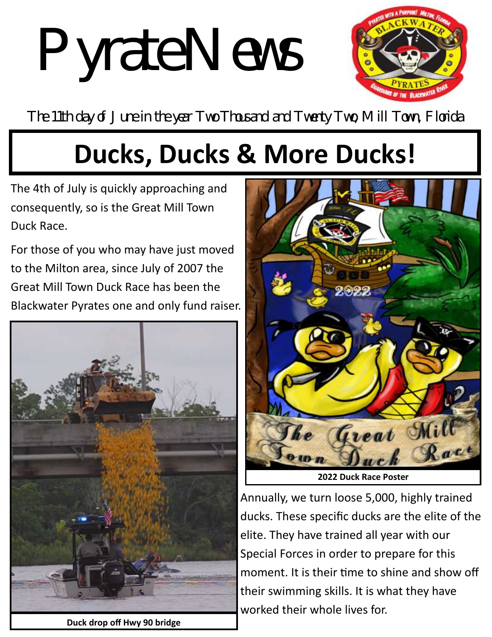# Pyrate News



The 11th day of June in the year Two Thousand and Twenty Two, Mill Town, Florida

#### **Ducks, Ducks & More Ducks!**

The 4th of July is quickly approaching and consequently, so is the Great Mill Town Duck Race.

For those of you who may have just moved to the Milton area, since July of 2007 the Great Mill Town Duck Race has been the Blackwater Pyrates one and only fund raiser.



**Duck drop off Hwy 90 bridge**



Annually, we turn loose 5,000, highly trained ducks. These specific ducks are the elite of the elite. They have trained all year with our Special Forces in order to prepare for this moment. It is their time to shine and show off their swimming skills. It is what they have worked their whole lives for.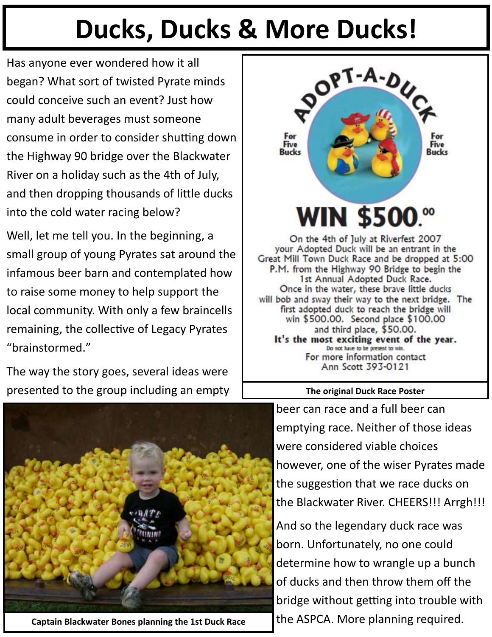#### **Ducks, Ducks & More Ducks!**

Has anyone ever wondered how it all began? What sort of twisted Pyrate minds could conceive such an event? Just how many adult beverages must someone consume in order to consider shutting down the Highway 90 bridge over the Blackwater River on a holiday such as the 4th of July, and then dropping thousands of little ducks into the cold water racing below?

Well, let me tell you. In the beginning, a small group of young Pyrates sat around the infamous beer barn and contemplated how to raise some money to help support the local community. With only a few braincells remaining, the collective of Legacy Pyrates "brainstormed."

The way the story goes, several ideas were presented to the group including an empty



It's the most exciting event of the year. Do not have to be present to win. For more information contact Ann Scott 393-0121

#### **The original Duck Race Poster**



**Captain Blackwater Bones planning the 1st Duck Race**

beer can race and a full beer can emptying race. Neither of those ideas were considered viable choices however, one of the wiser Pyrates made the suggestion that we race ducks on the Blackwater River. CHEERS!!! Arrgh!!!

And so the legendary duck race was born. Unfortunately, no one could determine how to wrangle up a bunch of ducks and then throw them off the bridge without getting into trouble with the ASPCA. More planning required.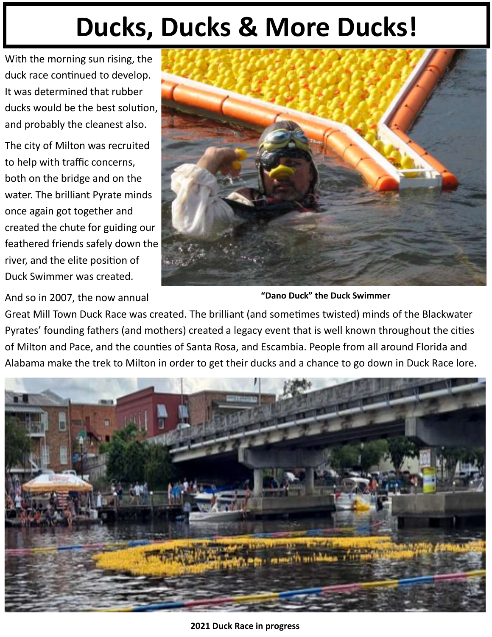#### **Ducks, Ducks & More Ducks!**

With the morning sun rising, the duck race continued to develop. It was determined that rubber ducks would be the best solution, and probably the cleanest also.

The city of Milton was recruited to help with traffic concerns, both on the bridge and on the water. The brilliant Pyrate minds once again got together and created the chute for guiding our feathered friends safely down the river, and the elite position of Duck Swimmer was created.

And so in 2007, the now annual



**"Dano Duck" the Duck Swimmer**

Great Mill Town Duck Race was created. The brilliant (and sometimes twisted) minds of the Blackwater Pyrates' founding fathers (and mothers) created a legacy event that is well known throughout the cities of Milton and Pace, and the counties of Santa Rosa, and Escambia. People from all around Florida and Alabama make the trek to Milton in order to get their ducks and a chance to go down in Duck Race lore.



**2021 Duck Race in progress**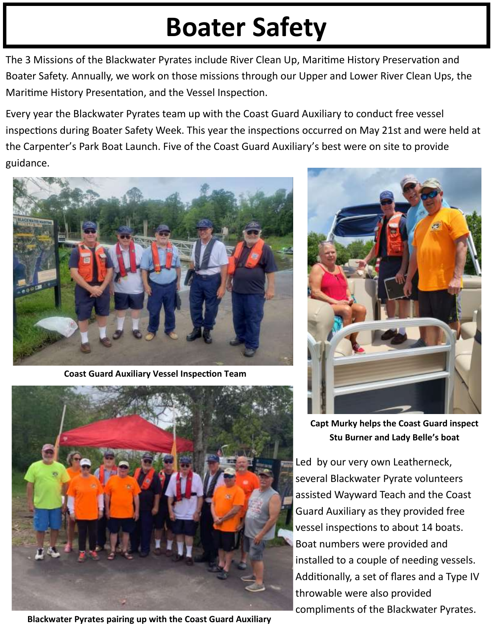#### **Boater Safety**

The 3 Missions of the Blackwater Pyrates include River Clean Up, Maritime History Preservation and Boater Safety. Annually, we work on those missions through our Upper and Lower River Clean Ups, the Maritime History Presentation, and the Vessel Inspection.

Every year the Blackwater Pyrates team up with the Coast Guard Auxiliary to conduct free vessel inspections during Boater Safety Week. This year the inspections occurred on May 21st and were held at the Carpenter's Park Boat Launch. Five of the Coast Guard Auxiliary's best were on site to provide guidance.



**Coast Guard Auxiliary Vessel Inspection Team**



**Blackwater Pyrates pairing up with the Coast Guard Auxiliary**



**Capt Murky helps the Coast Guard inspect Stu Burner and Lady Belle's boat**

Led by our very own Leatherneck, several Blackwater Pyrate volunteers assisted Wayward Teach and the Coast Guard Auxiliary as they provided free vessel inspections to about 14 boats. Boat numbers were provided and installed to a couple of needing vessels. Additionally, a set of flares and a Type IV throwable were also provided compliments of the Blackwater Pyrates.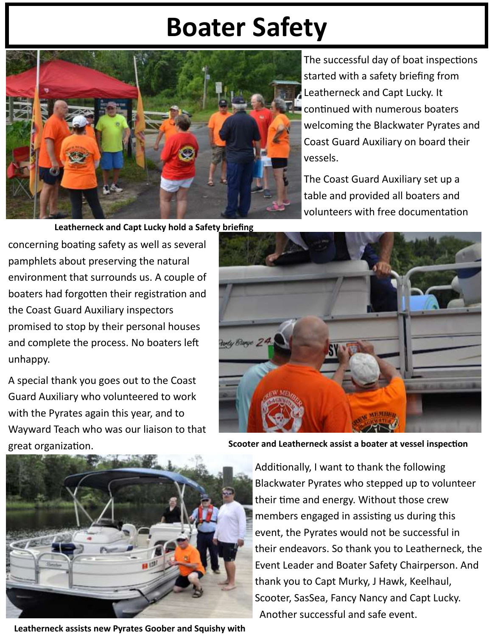#### **Boater Safety**



The successful day of boat inspections started with a safety briefing from Leatherneck and Capt Lucky. It continued with numerous boaters welcoming the Blackwater Pyrates and Coast Guard Auxiliary on board their vessels.

The Coast Guard Auxiliary set up a table and provided all boaters and volunteers with free documentation

**Leatherneck and Capt Lucky hold a Safety briefing**

concerning boating safety as well as several pamphlets about preserving the natural environment that surrounds us. A couple of boaters had forgotten their registration and the Coast Guard Auxiliary inspectors promised to stop by their personal houses and complete the process. No boaters left unhappy.

A special thank you goes out to the Coast Guard Auxiliary who volunteered to work with the Pyrates again this year, and to Wayward Teach who was our liaison to that great organization.



**Scooter and Leatherneck assist a boater at vessel inspection**

Additionally, I want to thank the following Blackwater Pyrates who stepped up to volunteer their time and energy. Without those crew members engaged in assisting us during this event, the Pyrates would not be successful in their endeavors. So thank you to Leatherneck, the Event Leader and Boater Safety Chairperson. And thank you to Capt Murky, J Hawk, Keelhaul, Scooter, SasSea, Fancy Nancy and Capt Lucky. Another successful and safe event.



**Leatherneck assists new Pyrates Goober and Squishy with**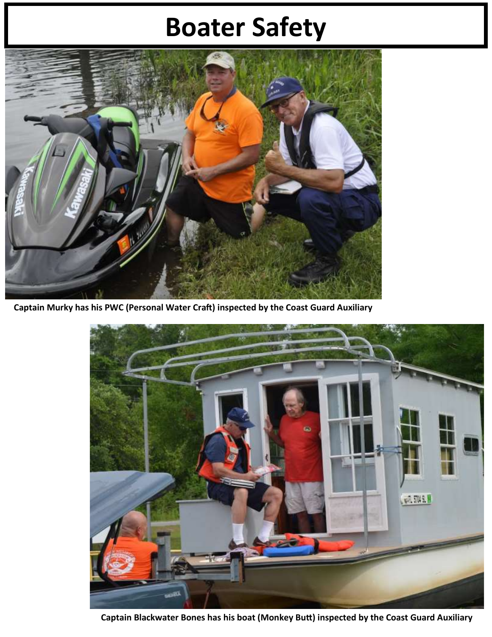#### **Boater Safety**



**Captain Murky has his PWC (Personal Water Craft) inspected by the Coast Guard Auxiliary**



**Captain Blackwater Bones has his boat (Monkey Butt) inspected by the Coast Guard Auxiliary**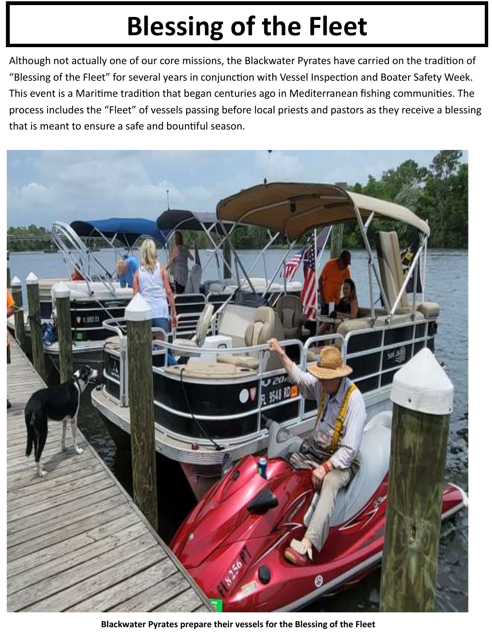# **Blessing of the Fleet**

Although not actually one of our core missions, the Blackwater Pyrates have carried on the tradition of "Blessing of the Fleet" for several years in conjunction with Vessel Inspection and Boater Safety Week. This event is a Maritime tradition that began centuries ago in Mediterranean fishing communities. The process includes the "Fleet" of vessels passing before local priests and pastors as they receive a blessing that is meant to ensure a safe and bountiful season.



**Blackwater Pyrates prepare their vessels for the Blessing of the Fleet**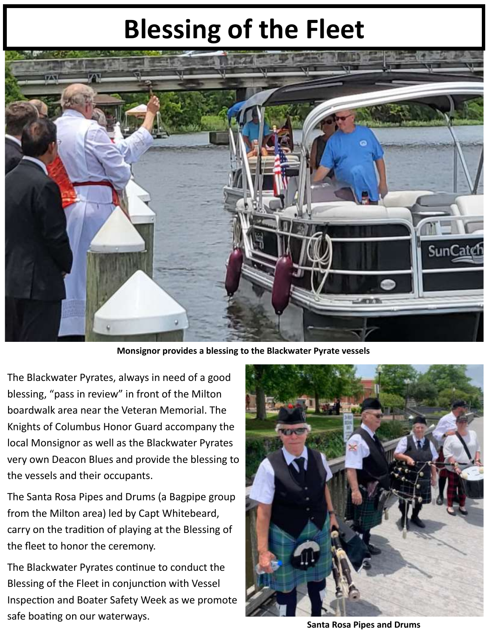#### **Blessing of the Fleet**



**Monsignor provides a blessing to the Blackwater Pyrate vessels** 

The Blackwater Pyrates, always in need of a good blessing, "pass in review" in front of the Milton boardwalk area near the Veteran Memorial. The Knights of Columbus Honor Guard accompany the local Monsignor as well as the Blackwater Pyrates very own Deacon Blues and provide the blessing to the vessels and their occupants.

The Santa Rosa Pipes and Drums (a Bagpipe group from the Milton area) led by Capt Whitebeard, carry on the tradition of playing at the Blessing of the fleet to honor the ceremony.

The Blackwater Pyrates continue to conduct the Blessing of the Fleet in conjunction with Vessel Inspection and Boater Safety Week as we promote safe boating on our waterways.



**Santa Rosa Pipes and Drums**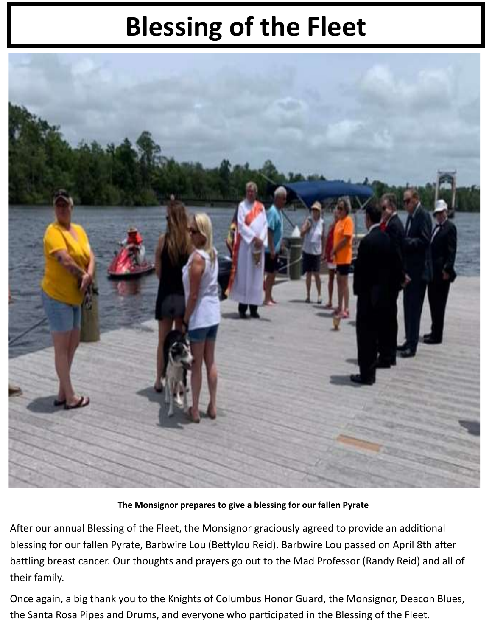#### **Blessing of the Fleet**



#### **The Monsignor prepares to give a blessing for our fallen Pyrate**

After our annual Blessing of the Fleet, the Monsignor graciously agreed to provide an additional blessing for our fallen Pyrate, Barbwire Lou (Bettylou Reid). Barbwire Lou passed on April 8th after battling breast cancer. Our thoughts and prayers go out to the Mad Professor (Randy Reid) and all of their family.

Once again, a big thank you to the Knights of Columbus Honor Guard, the Monsignor, Deacon Blues, the Santa Rosa Pipes and Drums, and everyone who participated in the Blessing of the Fleet.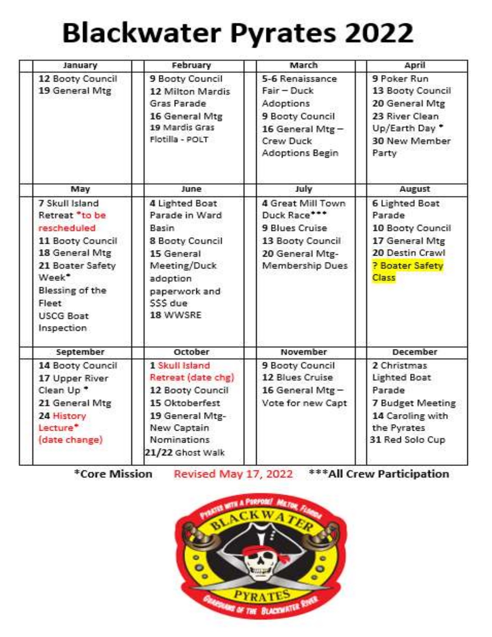# **Blackwater Pyrates 2022**

| January                                                                                                                                                                          | February                                                                                                                                               | March                                                                                                                    | April                                                                                                           |
|----------------------------------------------------------------------------------------------------------------------------------------------------------------------------------|--------------------------------------------------------------------------------------------------------------------------------------------------------|--------------------------------------------------------------------------------------------------------------------------|-----------------------------------------------------------------------------------------------------------------|
| 12 Booty Council<br>19 General Mtg                                                                                                                                               | 9 Booty Council<br>12 Milton Mardis<br>Gras Parade<br>16 General Mtg<br>19 Mardis Gras<br>Flotilla - POLT                                              | 5-6 Renaissance<br>Fair - Duck<br>Adoptions<br>9 Booty Council<br>16 General Mtg-<br>Crew Duck<br><b>Adoptions Begin</b> | 9 Poker Run<br>13 Booty Council<br>20 General Mtg<br>23 River Clean<br>Up/Earth Day *<br>30 New Member<br>Party |
| May                                                                                                                                                                              | June                                                                                                                                                   | July                                                                                                                     | August                                                                                                          |
| 7 Skull Island<br>Retreat *to be<br>rescheduled<br>11 Booty Council<br>18 General Mtg<br>21 Boater Safety<br>Week*<br>Blessing of the<br>Fleet<br><b>USCG Boat</b><br>Inspection | 4 Lighted Boat<br>Parade in Ward<br>Basin<br>8 Booty Council<br>15 General<br>Meeting/Duck<br>adoption<br>paperwork and<br>SSS due<br>18 WWSRE         | 4 Great Mill Town<br>Duck Race***<br>9 Blues Cruise<br>13 Booty Council<br>20 General Mtg-<br>Membership Dues            | 6 Lighted Boat<br>Parade<br>10 Booty Council<br>17 General Mtg<br>20 Destin Crawl<br>? Boater Safety<br>Class   |
| September                                                                                                                                                                        | <b>October</b>                                                                                                                                         | November                                                                                                                 | <b>December</b>                                                                                                 |
| 14 Booty Council<br>17 Upper River<br>Clean Up *<br>21 General Mtg<br>24 History<br>Lecture*<br>(date change)                                                                    | 1 Skull Island<br>Retreat (date chg)<br>12 Booty Council<br>15 Oktoberfest<br>19 General Mtg-<br>New Captain<br><b>Nominations</b><br>21/22 Ghost Walk | 9 Booty Council<br>12 Blues Cruise<br>16 General Mtg-<br>Vote for new Capt                                               | 2 Christmas<br>Lighted Boat<br>Parade<br>7 Budget Meeting<br>14 Caroling with<br>the Pyrates<br>31 Red Solo Cup |

\*Core Mission Revised May 17, 2022 \*\*\* All Crew Participation

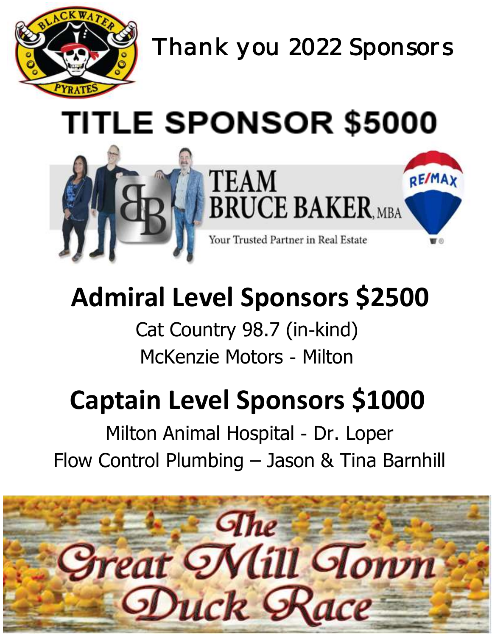

*Thank you 2022 Sponsors* 

# **TITLE SPONSOR \$5000**



### **Admiral Level Sponsors \$2500**

Cat Country 98.7 (in-kind) McKenzie Motors - Milton

### **Captain Level Sponsors \$1000**

Milton Animal Hospital - Dr. Loper Flow Control Plumbing – Jason & Tina Barnhill

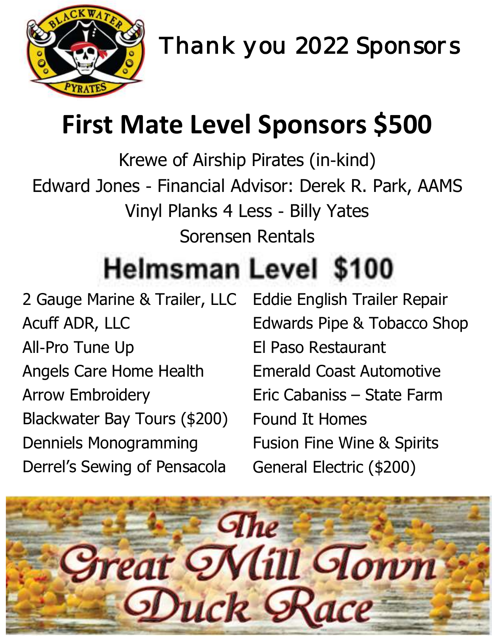

*Thank you 2022 Sponsors* 

### **First Mate Level Sponsors \$500**

Krewe of Airship Pirates (in-kind) Edward Jones - Financial Advisor: Derek R. Park, AAMS Vinyl Planks 4 Less - Billy Yates Sorensen Rentals

# **Helmsman Level \$100**

2 Gauge Marine & Trailer, LLC Acuff ADR, LLC All-Pro Tune Up Angels Care Home Health Arrow Embroidery Blackwater Bay Tours (\$200) Denniels Monogramming Derrel's Sewing of Pensacola

Eddie English Trailer Repair Edwards Pipe & Tobacco Shop El Paso Restaurant Emerald Coast Automotive Eric Cabaniss – State Farm Found It Homes Fusion Fine Wine & Spirits General Electric (\$200)